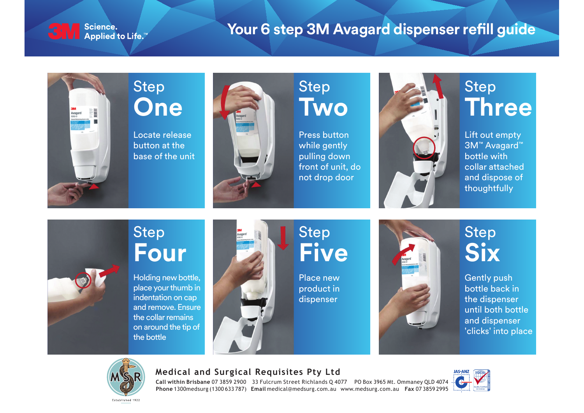

#### Science.

#### **Your 6 step 3M Avagard dispenser refill guide**



Step **One**

Locate release button at the base of the unit



#### Step **Two**

Press button while gently pulling down front of unit, do not drop door



#### Step **Three**

Lift out empty 3M™ Avagard™ bottle with collar attached and dispose of thoughtfully

#### Step **Four**

Holding new bottle, place your thumb in indentation on cap and remove. Ensure the collar remains on around the tip of the bottle



### Step **Five**

Place new product in dispenser



### Step **Six**

Gently push bottle back in the dispenser until both bottle and dispenser 'clicks' into place



#### **Medical and Surgical Requisites Pty Ltd**

**Call within Brisbane** 07 3859 2900 33 Fulcrum Street Richlands Q 4077 PO Box 3965 Mt. Ommaney QLD 4074 **Phone** 1300medsurg (1300 633 787) **Email** medical@medsurg.com.au www.medsurg.com.au **Fax** 07 3859 2995